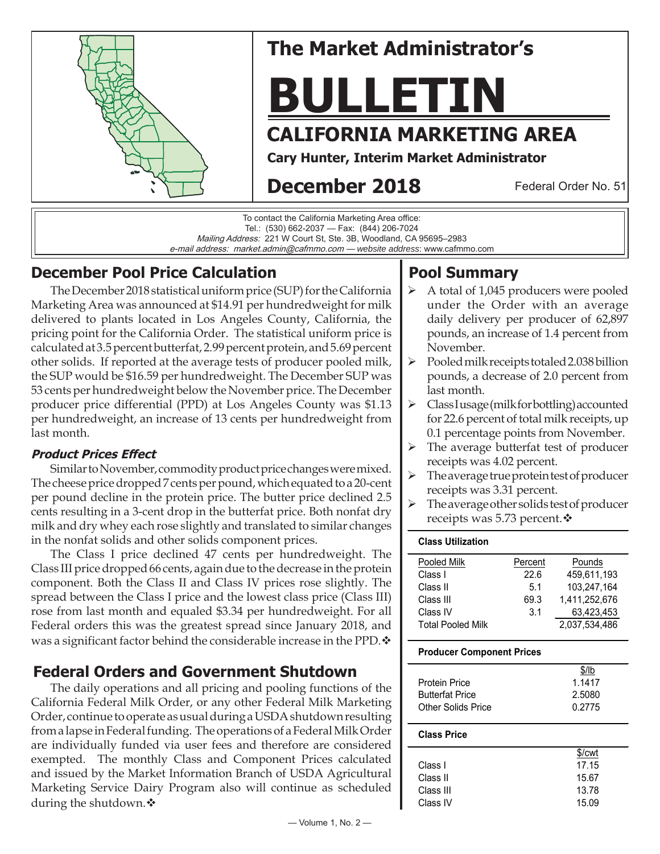

# **The Market Administrator's**

# **BULLETIN**

# **CALIFORNIA MARKETING AREA**

**Cary Hunter, Interim Market Administrator**

# **December 2018**

Federal Order No. 51

To contact the California Marketing Area office: Tel.: (530) 662-2037 — Fax: (844) 206-7024 Mailing Address: 221 W Court St, Ste. 3B, Woodland, CA 95695–2983 e-mail address: market.admin@cafmmo.com — *website address*: www.cafmmo.com

## **December Pool Price Calculation**

The December 2018 statistical uniform price (SUP) for the California Marketing Area was announced at \$14.91 per hundredweight for milk delivered to plants located in Los Angeles County, California, the pricing point for the California Order. The statistical uniform price is calculated at 3.5 percent butterfat, 2.99 percent protein, and 5.69 percent other solids. If reported at the average tests of producer pooled milk, the SUP would be \$16.59 per hundredweight. The December SUP was 53 cents per hundredweight below the November price. The December producer price differential (PPD) at Los Angeles County was \$1.13 per hundredweight, an increase of 13 cents per hundredweight from last month.

#### **Product Prices Effect**

Similar to November, commodity product price changes were mixed. The cheese price dropped 7 cents per pound, which equated to a 20-cent per pound decline in the protein price. The butter price declined 2.5 cents resulting in a 3-cent drop in the butterfat price. Both nonfat dry milk and dry whey each rose slightly and translated to similar changes in the nonfat solids and other solids component prices.

The Class I price declined 47 cents per hundredweight. The Class III price dropped 66 cents, again due to the decrease in the protein component. Both the Class II and Class IV prices rose slightly. The spread between the Class I price and the lowest class price (Class III) rose from last month and equaled \$3.34 per hundredweight. For all Federal orders this was the greatest spread since January 2018, and was a significant factor behind the considerable increase in the PPD.  $\mathbf{\hat{v}}$ 

## **Federal Orders and Government Shutdown**

The daily operations and all pricing and pooling functions of the California Federal Milk Order, or any other Federal Milk Marketing Order, continue to operate as usual during a USDA shutdown resulting from a lapse in Federal funding. The operations of a Federal Milk Order are individually funded via user fees and therefore are considered exempted. The monthly Class and Component Prices calculated and issued by the Market Information Branch of USDA Agricultural Marketing Service Dairy Program also will continue as scheduled during the shutdown.

# **Pool Summary**

- A total of 1,045 producers were pooled under the Order with an average daily delivery per producer of 62,897 pounds, an increase of 1.4 percent from November.
- Pooled milk receipts totaled 2.038 billion pounds, a decrease of 2.0 percent from last month.
- $\triangleright$  Class I usage (milk for bottling) accounted for 22.6 percent of total milk receipts, up 0.1 percentage points from November.
- $\triangleright$  The average butterfat test of producer receipts was 4.02 percent.
- The average true protein test of producer receipts was 3.31 percent.
- The average other solids test of producer receipts was 5.73 percent. ❖

#### **Class Utilization**

| Pooled Milk              | Percent | Pounds        |
|--------------------------|---------|---------------|
| Class I                  | 22.6    | 459.611.193   |
| Class II                 | 5.1     | 103.247.164   |
| Class III                | 69.3    | 1.411.252.676 |
| Class IV                 | 3.1     | 63.423.453    |
| <b>Total Pooled Milk</b> |         | 2,037,534,486 |
|                          |         |               |

#### **Producer Component Prices**

|                        | \$/lb  |
|------------------------|--------|
| <b>Protein Price</b>   | 1.1417 |
| <b>Butterfat Price</b> | 2.5080 |
| Other Solids Price     | 0.2775 |

#### **Class Price**

|           | \$/cwt |
|-----------|--------|
| Class I   | 17.15  |
| Class II  | 15.67  |
| Class III | 13.78  |
| Class IV  | 15.09  |
|           |        |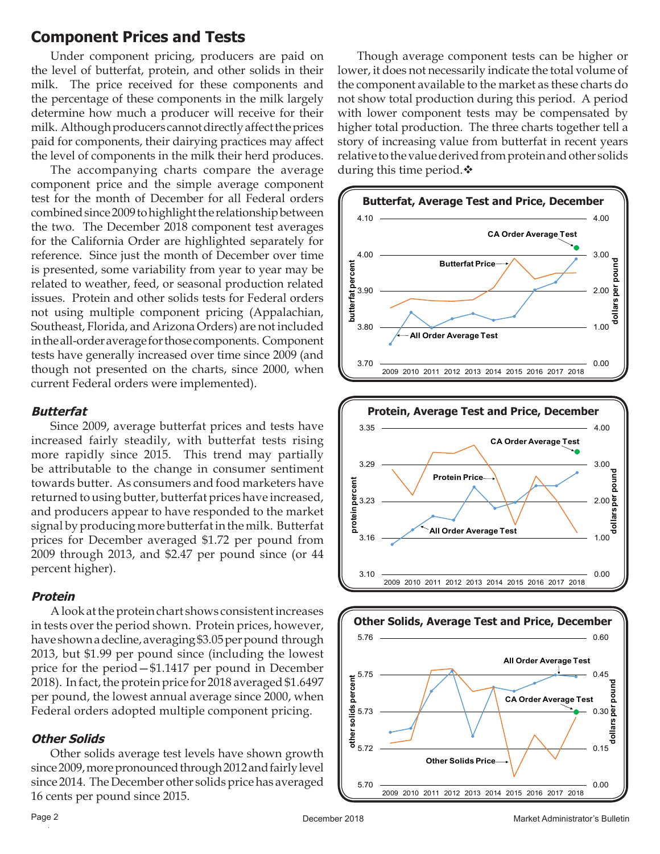## **Component Prices and Tests**

Under component pricing, producers are paid on the level of butterfat, protein, and other solids in their milk. The price received for these components and the percentage of these components in the milk largely determine how much a producer will receive for their milk. Although producers cannot directly affect the prices paid for components, their dairying practices may affect the level of components in the milk their herd produces.

The accompanying charts compare the average component price and the simple average component test for the month of December for all Federal orders combined since 2009 to highlight the relationship between the two. The December 2018 component test averages for the California Order are highlighted separately for reference. Since just the month of December over time is presented, some variability from year to year may be related to weather, feed, or seasonal production related issues. Protein and other solids tests for Federal orders not using multiple component pricing (Appalachian, Southeast, Florida, and Arizona Orders) are not included in the all-order average for those components. Component tests have generally increased over time since 2009 (and though not presented on the charts, since 2000, when current Federal orders were implemented).

#### **Butterfat**

Since 2009, average butterfat prices and tests have increased fairly steadily, with butterfat tests rising more rapidly since 2015. This trend may partially be attributable to the change in consumer sentiment towards butter. As consumers and food marketers have returned to using butter, butterfat prices have increased, and producers appear to have responded to the market signal by producing more butterfat in the milk. Butterfat prices for December averaged \$1.72 per pound from 2009 through 2013, and \$2.47 per pound since (or 44 percent higher).

#### **Protein**

A look at the protein chart shows consistent increases in tests over the period shown. Protein prices, however, have shown a decline, averaging \$3.05 per pound through 2013, but \$1.99 per pound since (including the lowest price for the period—\$1.1417 per pound in December 2018). In fact, the protein price for 2018 averaged \$1.6497 per pound, the lowest annual average since 2000, when Federal orders adopted multiple component pricing.

#### **Other Solids**

Other solids average test levels have shown growth since 2009, more pronounced through 2012 and fairly level since 2014. The December other solids price has averaged 16 cents per pound since 2015.

Though average component tests can be higher or lower, it does not necessarily indicate the total volume of the component available to the market as these charts do not show total production during this period. A period with lower component tests may be compensated by higher total production. The three charts together tell a story of increasing value from butterfat in recent years relative to the value derived from protein and other solids during this time period. $\clubsuit$ 





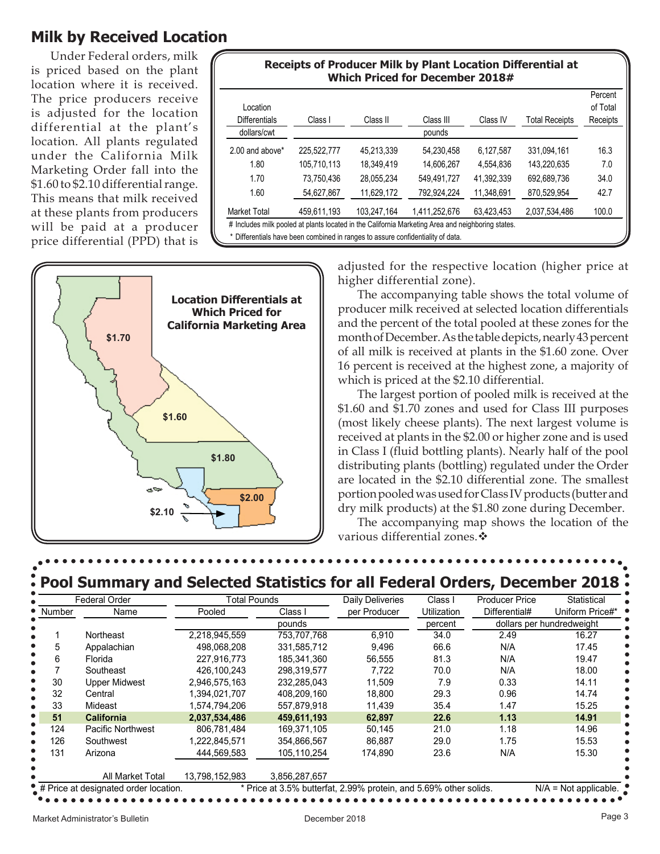## **Milk by Received Location**

Under Federal orders, milk is priced based on the plant location where it is received. The price producers receive is adjusted for the location differential at the plant's location. All plants regulated under the California Milk Marketing Order fall into the \$1.60 to \$2.10 differential range. This means that milk received at these plants from producers will be paid at a producer price differential (PPD) that is

| Location        |             |             |               |            |                       | Percent<br>of Total |
|-----------------|-------------|-------------|---------------|------------|-----------------------|---------------------|
| Differentials   | Class I     | Class II    | Class III     | Class IV   | <b>Total Receipts</b> | Receipts            |
| dollars/cwt     |             |             | pounds        |            |                       |                     |
| 2.00 and above* | 225,522,777 | 45,213,339  | 54,230,458    | 6.127.587  | 331.094.161           | 16.3                |
| 1.80            | 105.710.113 | 18.349.419  | 14.606.267    | 4.554.836  | 143.220.635           | 7.0                 |
| 1.70            | 73.750.436  | 28.055.234  | 549,491,727   | 41.392.339 | 692.689.736           | 34.0                |
| 1.60            | 54.627.867  | 11,629,172  | 792.924.224   | 11.348.691 | 870.529.954           | 42.7                |
| Market Total    | 459,611,193 | 103.247.164 | 1.411.252.676 | 63.423.453 | 2,037,534,486         | 100.0               |



adjusted for the respective location (higher price at higher differential zone).

The accompanying table shows the total volume of producer milk received at selected location differentials and the percent of the total pooled at these zones for the month of December. As the table depicts, nearly 43 percent of all milk is received at plants in the \$1.60 zone. Over 16 percent is received at the highest zone, a majority of which is priced at the \$2.10 differential.

The largest portion of pooled milk is received at the \$1.60 and \$1.70 zones and used for Class III purposes (most likely cheese plants). The next largest volume is received at plants in the \$2.00 or higher zone and is used in Class I (fluid bottling plants). Nearly half of the pool distributing plants (bottling) regulated under the Order are located in the \$2.10 differential zone. The smallest portion pooled was used for Class IV products (butter and dry milk products) at the \$1.80 zone during December.

The accompanying map shows the location of the various differential zones. ❖

|                | <b>Federal Order</b>     | <b>Total Pounds</b> |               | Daily Deliveries | Class I       | <b>Producer Price</b>     | Statistical |
|----------------|--------------------------|---------------------|---------------|------------------|---------------|---------------------------|-------------|
| Name<br>Number | Pooled                   | Class I             | per Producer  | Utilization      | Differential# | Uniform Price#*           |             |
|                |                          |                     | pounds        |                  | percent       | dollars per hundredweight |             |
|                | Northeast                | 2,218,945,559       | 753,707,768   | 6.910            | 34.0          | 2.49                      | 16.27       |
| 5              | Appalachian              | 498,068,208         | 331,585,712   | 9.496            | 66.6          | N/A                       | 17.45       |
| 6              | Florida                  | 227,916,773         | 185,341,360   | 56,555           | 81.3          | N/A                       | 19.47       |
|                | Southeast                | 426,100,243         | 298.319.577   | 7.722            | 70.0          | N/A                       | 18.00       |
| 30             | Upper Midwest            | 2.946.575.163       | 232,285,043   | 11.509           | 7.9           | 0.33                      | 14.11       |
| 32             | Central                  | 1,394,021,707       | 408,209,160   | 18.800           | 29.3          | 0.96                      | 14.74       |
| 33             | Mideast                  | 1,574,794,206       | 557,879,918   | 11,439           | 35.4          | 1.47                      | 15.25       |
| 51             | <b>California</b>        | 2,037,534,486       | 459,611,193   | 62,897           | 22.6          | 1.13                      | 14.91       |
| 124            | <b>Pacific Northwest</b> | 806,781,484         | 169,371,105   | 50,145           | 21.0          | 1.18                      | 14.96       |
| 126            | Southwest                | 1,222,845,571       | 354,866,567   | 86,887           | 29.0          | 1.75                      | 15.53       |
| 131            | Arizona                  | 444,569,583         | 105,110,254   | 174,890          | 23.6          | N/A                       | 15.30       |
|                | All Market Total         | 13,798,152,983      | 3,856,287,657 |                  |               |                           |             |